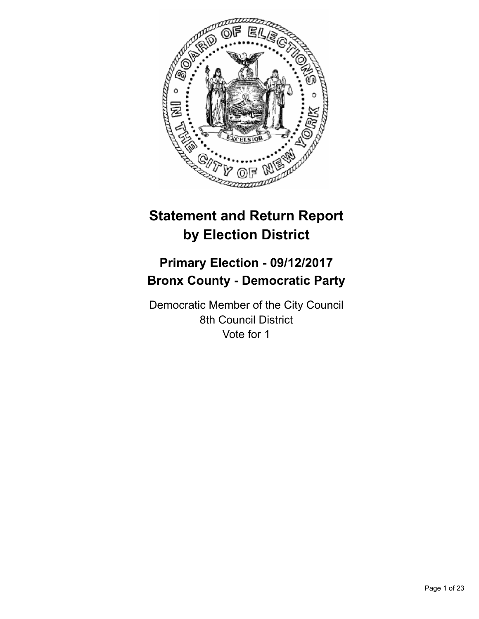

# **Statement and Return Report by Election District**

## **Primary Election - 09/12/2017 Bronx County - Democratic Party**

Democratic Member of the City Council 8th Council District Vote for 1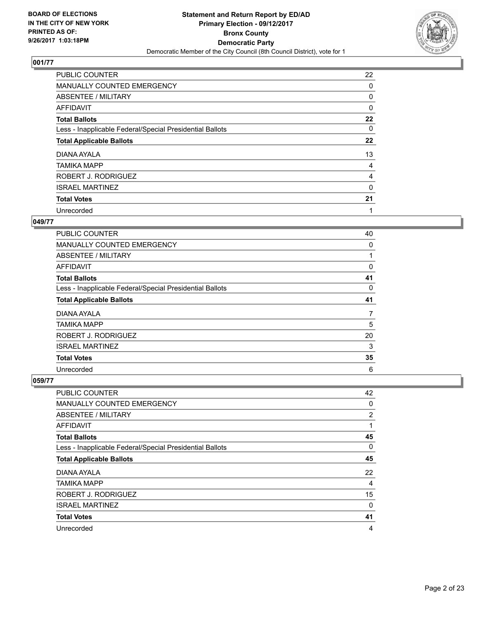

| <b>PUBLIC COUNTER</b>                                    | 22 |
|----------------------------------------------------------|----|
| <b>MANUALLY COUNTED EMERGENCY</b>                        | 0  |
| ABSENTEE / MILITARY                                      | 0  |
| AFFIDAVIT                                                | 0  |
| <b>Total Ballots</b>                                     | 22 |
| Less - Inapplicable Federal/Special Presidential Ballots | 0  |
| <b>Total Applicable Ballots</b>                          | 22 |
| DIANA AYALA                                              | 13 |
| <b>TAMIKA MAPP</b>                                       | 4  |
| ROBERT J. RODRIGUEZ                                      | 4  |
| <b>ISRAEL MARTINEZ</b>                                   | 0  |
| <b>Total Votes</b>                                       | 21 |
| Unrecorded                                               | 1  |

#### **049/77**

| PUBLIC COUNTER                                           | 40 |
|----------------------------------------------------------|----|
| <b>MANUALLY COUNTED EMERGENCY</b>                        | 0  |
| ABSENTEE / MILITARY                                      |    |
| <b>AFFIDAVIT</b>                                         | 0  |
| <b>Total Ballots</b>                                     | 41 |
| Less - Inapplicable Federal/Special Presidential Ballots | 0  |
| <b>Total Applicable Ballots</b>                          | 41 |
| DIANA AYALA                                              | 7  |
| <b>TAMIKA MAPP</b>                                       | 5  |
| ROBERT J. RODRIGUEZ                                      | 20 |
| <b>ISRAEL MARTINEZ</b>                                   | 3  |
| <b>Total Votes</b>                                       | 35 |
| Unrecorded                                               | 6  |

| PUBLIC COUNTER                                           | 42 |
|----------------------------------------------------------|----|
| <b>MANUALLY COUNTED EMERGENCY</b>                        | 0  |
| ABSENTEE / MILITARY                                      | 2  |
| AFFIDAVIT                                                | 1  |
| <b>Total Ballots</b>                                     | 45 |
| Less - Inapplicable Federal/Special Presidential Ballots | 0  |
| <b>Total Applicable Ballots</b>                          | 45 |
| DIANA AYALA                                              | 22 |
| <b>TAMIKA MAPP</b>                                       | 4  |
| ROBERT J. RODRIGUEZ                                      | 15 |
| <b>ISRAEL MARTINEZ</b>                                   | 0  |
| <b>Total Votes</b>                                       | 41 |
| Unrecorded                                               | 4  |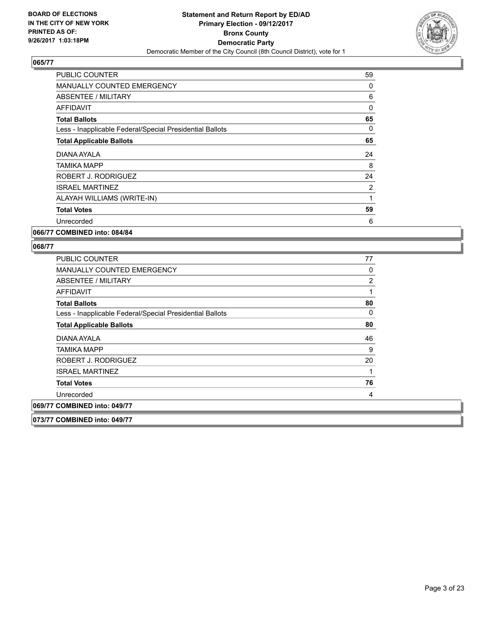

| <b>PUBLIC COUNTER</b>                                    | 59 |
|----------------------------------------------------------|----|
| <b>MANUALLY COUNTED EMERGENCY</b>                        | 0  |
| <b>ABSENTEE / MILITARY</b>                               | 6  |
| <b>AFFIDAVIT</b>                                         | 0  |
| <b>Total Ballots</b>                                     | 65 |
| Less - Inapplicable Federal/Special Presidential Ballots | 0  |
| <b>Total Applicable Ballots</b>                          | 65 |
| DIANA AYALA                                              | 24 |
| TAMIKA MAPP                                              | 8  |
| ROBERT J. RODRIGUEZ                                      | 24 |
| <b>ISRAEL MARTINEZ</b>                                   | 2  |
| ALAYAH WILLIAMS (WRITE-IN)                               | 1  |
| <b>Total Votes</b>                                       | 59 |
| Unrecorded                                               | 6  |
|                                                          |    |

**066/77 COMBINED into: 084/84**

| <b>PUBLIC COUNTER</b>                                    | 77             |
|----------------------------------------------------------|----------------|
| MANUALLY COUNTED EMERGENCY                               | 0              |
| ABSENTEE / MILITARY                                      | $\overline{2}$ |
| <b>AFFIDAVIT</b>                                         | 1              |
| <b>Total Ballots</b>                                     | 80             |
| Less - Inapplicable Federal/Special Presidential Ballots | 0              |
| <b>Total Applicable Ballots</b>                          | 80             |
| DIANA AYALA                                              | 46             |
| TAMIKA MAPP                                              | 9              |
| ROBERT J. RODRIGUEZ                                      | 20             |
| <b>ISRAEL MARTINEZ</b>                                   |                |
| <b>Total Votes</b>                                       | 76             |
| Unrecorded                                               | 4              |
| 069/77 COMBINED into: 049/77                             |                |
| 073/77 COMBINED into: 049/77                             |                |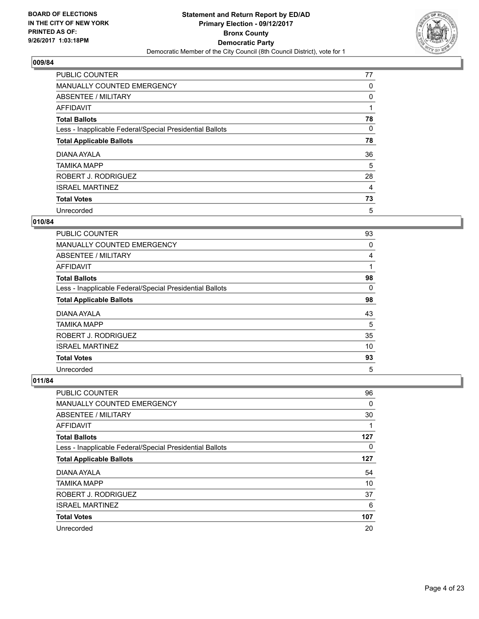

| <b>PUBLIC COUNTER</b>                                    | 77 |
|----------------------------------------------------------|----|
| MANUALLY COUNTED EMERGENCY                               | 0  |
| ABSENTEE / MILITARY                                      | 0  |
| AFFIDAVIT                                                |    |
| <b>Total Ballots</b>                                     | 78 |
| Less - Inapplicable Federal/Special Presidential Ballots | 0  |
| <b>Total Applicable Ballots</b>                          | 78 |
| DIANA AYALA                                              | 36 |
| <b>TAMIKA MAPP</b>                                       | 5  |
| ROBERT J. RODRIGUEZ                                      | 28 |
| <b>ISRAEL MARTINEZ</b>                                   | 4  |
| <b>Total Votes</b>                                       | 73 |
| Unrecorded                                               | 5  |

#### **010/84**

| <b>PUBLIC COUNTER</b>                                    | 93             |
|----------------------------------------------------------|----------------|
| <b>MANUALLY COUNTED EMERGENCY</b>                        | 0              |
| ABSENTEE / MILITARY                                      | $\overline{4}$ |
| AFFIDAVIT                                                | 1              |
| <b>Total Ballots</b>                                     | 98             |
| Less - Inapplicable Federal/Special Presidential Ballots | 0              |
| <b>Total Applicable Ballots</b>                          | 98             |
| DIANA AYALA                                              | 43             |
| <b>TAMIKA MAPP</b>                                       | 5              |
| ROBERT J. RODRIGUEZ                                      | 35             |
| <b>ISRAEL MARTINEZ</b>                                   | 10             |
| <b>Total Votes</b>                                       | 93             |
| Unrecorded                                               | 5              |

| <b>PUBLIC COUNTER</b>                                    | 96       |
|----------------------------------------------------------|----------|
| <b>MANUALLY COUNTED EMERGENCY</b>                        | $\Omega$ |
| ABSENTEE / MILITARY                                      | 30       |
| AFFIDAVIT                                                | 1        |
| <b>Total Ballots</b>                                     | 127      |
| Less - Inapplicable Federal/Special Presidential Ballots | 0        |
| <b>Total Applicable Ballots</b>                          | 127      |
| DIANA AYALA                                              | 54       |
| <b>TAMIKA MAPP</b>                                       | 10       |
| ROBERT J. RODRIGUEZ                                      | 37       |
| <b>ISRAEL MARTINEZ</b>                                   | 6        |
| <b>Total Votes</b>                                       | 107      |
| Unrecorded                                               | 20       |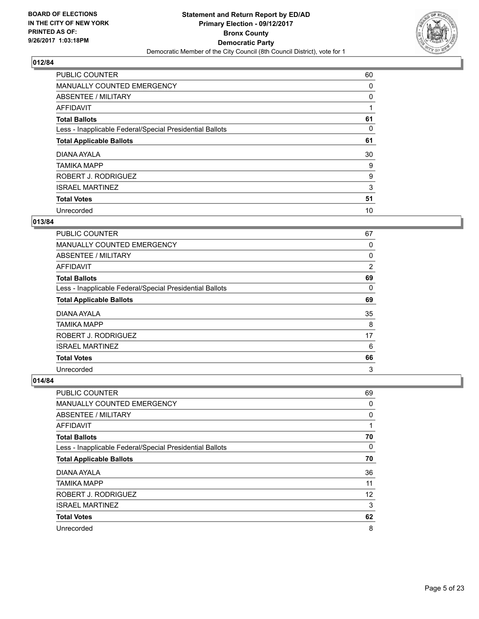

| <b>PUBLIC COUNTER</b>                                    | 60 |
|----------------------------------------------------------|----|
| MANUALLY COUNTED EMERGENCY                               | 0  |
| ABSENTEE / MILITARY                                      | 0  |
| AFFIDAVIT                                                |    |
| <b>Total Ballots</b>                                     | 61 |
| Less - Inapplicable Federal/Special Presidential Ballots | 0  |
| <b>Total Applicable Ballots</b>                          | 61 |
| DIANA AYALA                                              | 30 |
| <b>TAMIKA MAPP</b>                                       | 9  |
| ROBERT J. RODRIGUEZ                                      | 9  |
| <b>ISRAEL MARTINEZ</b>                                   | 3  |
| <b>Total Votes</b>                                       | 51 |
| Unrecorded                                               | 10 |

## **013/84**

| <b>PUBLIC COUNTER</b>                                    | 67 |
|----------------------------------------------------------|----|
| <b>MANUALLY COUNTED EMERGENCY</b>                        | 0  |
| ABSENTEE / MILITARY                                      | 0  |
| AFFIDAVIT                                                | 2  |
| <b>Total Ballots</b>                                     | 69 |
| Less - Inapplicable Federal/Special Presidential Ballots | 0  |
| <b>Total Applicable Ballots</b>                          | 69 |
| DIANA AYALA                                              | 35 |
| <b>TAMIKA MAPP</b>                                       | 8  |
| ROBERT J. RODRIGUEZ                                      | 17 |
| <b>ISRAEL MARTINEZ</b>                                   | 6  |
| <b>Total Votes</b>                                       | 66 |
| Unrecorded                                               | 3  |

| PUBLIC COUNTER                                           | 69 |
|----------------------------------------------------------|----|
| MANUALLY COUNTED EMERGENCY                               | 0  |
| ABSENTEE / MILITARY                                      | 0  |
| AFFIDAVIT                                                | 1  |
| <b>Total Ballots</b>                                     | 70 |
| Less - Inapplicable Federal/Special Presidential Ballots | 0  |
| <b>Total Applicable Ballots</b>                          | 70 |
| DIANA AYALA                                              | 36 |
| <b>TAMIKA MAPP</b>                                       | 11 |
| ROBERT J. RODRIGUEZ                                      | 12 |
| <b>ISRAEL MARTINEZ</b>                                   | 3  |
| <b>Total Votes</b>                                       | 62 |
| Unrecorded                                               | 8  |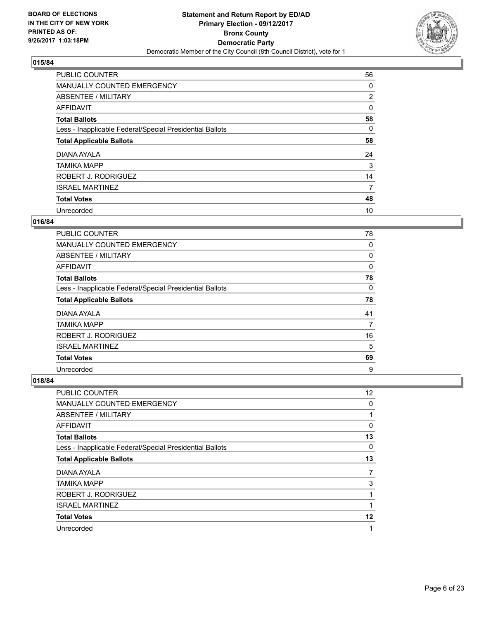

| <b>PUBLIC COUNTER</b>                                    | 56             |
|----------------------------------------------------------|----------------|
| MANUALLY COUNTED EMERGENCY                               | 0              |
| ABSENTEE / MILITARY                                      | $\overline{2}$ |
| <b>AFFIDAVIT</b>                                         | 0              |
| <b>Total Ballots</b>                                     | 58             |
| Less - Inapplicable Federal/Special Presidential Ballots | 0              |
| <b>Total Applicable Ballots</b>                          | 58             |
| DIANA AYALA                                              | 24             |
| <b>TAMIKA MAPP</b>                                       | 3              |
| ROBERT J. RODRIGUEZ                                      | 14             |
| <b>ISRAEL MARTINEZ</b>                                   | 7              |
| <b>Total Votes</b>                                       | 48             |
| Unrecorded                                               | 10             |

## **016/84**

| <b>PUBLIC COUNTER</b>                                    | 78       |
|----------------------------------------------------------|----------|
| <b>MANUALLY COUNTED EMERGENCY</b>                        | 0        |
| ABSENTEE / MILITARY                                      | 0        |
| AFFIDAVIT                                                | $\Omega$ |
| <b>Total Ballots</b>                                     | 78       |
| Less - Inapplicable Federal/Special Presidential Ballots | 0        |
| <b>Total Applicable Ballots</b>                          | 78       |
| DIANA AYALA                                              | 41       |
| <b>TAMIKA MAPP</b>                                       | 7        |
| ROBERT J. RODRIGUEZ                                      | 16       |
| <b>ISRAEL MARTINEZ</b>                                   | 5        |
| <b>Total Votes</b>                                       | 69       |
| Unrecorded                                               | 9        |

| PUBLIC COUNTER                                           | 12 |
|----------------------------------------------------------|----|
| <b>MANUALLY COUNTED EMERGENCY</b>                        | 0  |
| ABSENTEE / MILITARY                                      |    |
| AFFIDAVIT                                                | 0  |
| <b>Total Ballots</b>                                     | 13 |
| Less - Inapplicable Federal/Special Presidential Ballots | 0  |
| <b>Total Applicable Ballots</b>                          | 13 |
| DIANA AYALA                                              | 7  |
| <b>TAMIKA MAPP</b>                                       | 3  |
| ROBERT J. RODRIGUEZ                                      | 1  |
| <b>ISRAEL MARTINEZ</b>                                   | 1  |
| <b>Total Votes</b>                                       | 12 |
| Unrecorded                                               | 1  |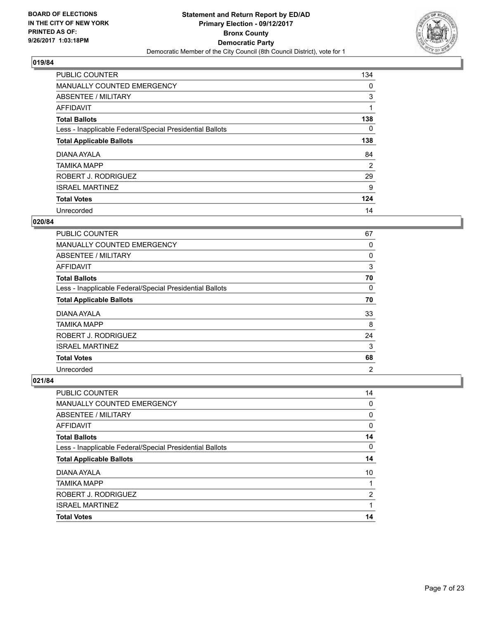

| <b>PUBLIC COUNTER</b>                                    | 134 |
|----------------------------------------------------------|-----|
| MANUALLY COUNTED EMERGENCY                               | 0   |
| ABSENTEE / MILITARY                                      | 3   |
| <b>AFFIDAVIT</b>                                         |     |
| <b>Total Ballots</b>                                     | 138 |
| Less - Inapplicable Federal/Special Presidential Ballots | 0   |
| <b>Total Applicable Ballots</b>                          | 138 |
| DIANA AYALA                                              | 84  |
| <b>TAMIKA MAPP</b>                                       | 2   |
| ROBERT J. RODRIGUEZ                                      | 29  |
| <b>ISRAEL MARTINEZ</b>                                   | 9   |
| <b>Total Votes</b>                                       | 124 |
| Unrecorded                                               | 14  |

#### **020/84**

| <b>PUBLIC COUNTER</b>                                    | 67             |
|----------------------------------------------------------|----------------|
| MANUALLY COUNTED EMERGENCY                               | 0              |
| ABSENTEE / MILITARY                                      | 0              |
| <b>AFFIDAVIT</b>                                         | 3              |
| <b>Total Ballots</b>                                     | 70             |
| Less - Inapplicable Federal/Special Presidential Ballots | 0              |
| <b>Total Applicable Ballots</b>                          | 70             |
| DIANA AYALA                                              | 33             |
| TAMIKA MAPP                                              | 8              |
| ROBERT J. RODRIGUEZ                                      | 24             |
| <b>ISRAEL MARTINEZ</b>                                   | 3              |
| <b>Total Votes</b>                                       | 68             |
| Unrecorded                                               | $\overline{2}$ |

| PUBLIC COUNTER                                           | 14             |
|----------------------------------------------------------|----------------|
| <b>MANUALLY COUNTED EMERGENCY</b>                        | 0              |
| ABSENTEE / MILITARY                                      | 0              |
| AFFIDAVIT                                                | 0              |
| <b>Total Ballots</b>                                     | 14             |
| Less - Inapplicable Federal/Special Presidential Ballots | 0              |
| <b>Total Applicable Ballots</b>                          | 14             |
| DIANA AYALA                                              | 10             |
| <b>TAMIKA MAPP</b>                                       |                |
| ROBERT J. RODRIGUEZ                                      | $\overline{2}$ |
| <b>ISRAEL MARTINEZ</b>                                   |                |
| <b>Total Votes</b>                                       | 14             |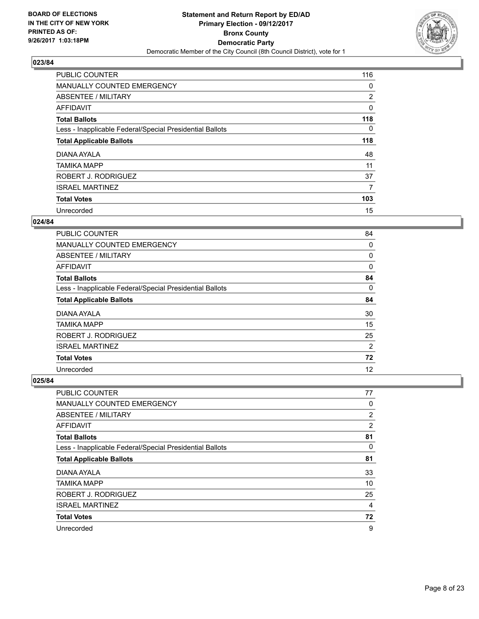

| <b>PUBLIC COUNTER</b>                                    | 116            |
|----------------------------------------------------------|----------------|
| MANUALLY COUNTED EMERGENCY                               | 0              |
| ABSENTEE / MILITARY                                      | $\overline{2}$ |
| AFFIDAVIT                                                | 0              |
| <b>Total Ballots</b>                                     | 118            |
| Less - Inapplicable Federal/Special Presidential Ballots | 0              |
| <b>Total Applicable Ballots</b>                          | 118            |
| DIANA AYALA                                              | 48             |
| <b>TAMIKA MAPP</b>                                       | 11             |
| ROBERT J. RODRIGUEZ                                      | 37             |
| <b>ISRAEL MARTINEZ</b>                                   | 7              |
| <b>Total Votes</b>                                       | 103            |
| Unrecorded                                               | 15             |

#### **024/84**

| <b>PUBLIC COUNTER</b>                                    | 84 |
|----------------------------------------------------------|----|
| <b>MANUALLY COUNTED EMERGENCY</b>                        | 0  |
| ABSENTEE / MILITARY                                      | 0  |
| AFFIDAVIT                                                | 0  |
| <b>Total Ballots</b>                                     | 84 |
| Less - Inapplicable Federal/Special Presidential Ballots | 0  |
| <b>Total Applicable Ballots</b>                          | 84 |
| DIANA AYALA                                              | 30 |
| TAMIKA MAPP                                              | 15 |
| ROBERT J. RODRIGUEZ                                      | 25 |
| <b>ISRAEL MARTINEZ</b>                                   | 2  |
| <b>Total Votes</b>                                       | 72 |
| Unrecorded                                               | 12 |

| <b>PUBLIC COUNTER</b>                                    | 77 |
|----------------------------------------------------------|----|
| <b>MANUALLY COUNTED EMERGENCY</b>                        | 0  |
| ABSENTEE / MILITARY                                      | 2  |
| AFFIDAVIT                                                | 2  |
| <b>Total Ballots</b>                                     | 81 |
| Less - Inapplicable Federal/Special Presidential Ballots | 0  |
| <b>Total Applicable Ballots</b>                          | 81 |
| DIANA AYALA                                              | 33 |
| <b>TAMIKA MAPP</b>                                       | 10 |
| ROBERT J. RODRIGUEZ                                      | 25 |
| <b>ISRAEL MARTINEZ</b>                                   | 4  |
| <b>Total Votes</b>                                       | 72 |
| Unrecorded                                               | 9  |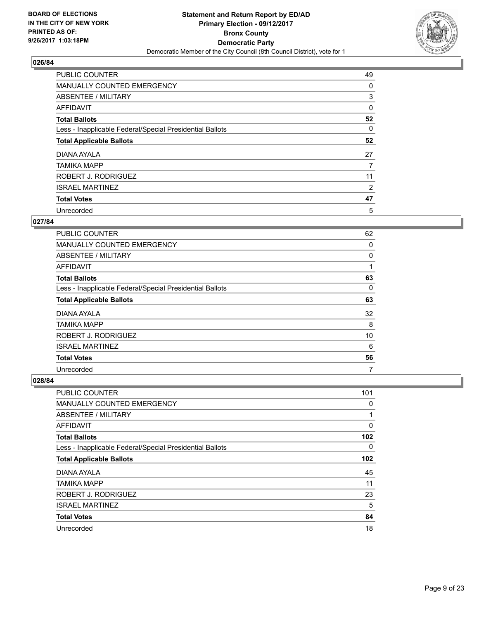

| <b>PUBLIC COUNTER</b>                                    | 49 |
|----------------------------------------------------------|----|
| MANUALLY COUNTED EMERGENCY                               | 0  |
| ABSENTEE / MILITARY                                      | 3  |
| AFFIDAVIT                                                | 0  |
| <b>Total Ballots</b>                                     | 52 |
| Less - Inapplicable Federal/Special Presidential Ballots | 0  |
| <b>Total Applicable Ballots</b>                          | 52 |
| DIANA AYALA                                              | 27 |
| <b>TAMIKA MAPP</b>                                       | 7  |
| ROBERT J. RODRIGUEZ                                      | 11 |
| <b>ISRAEL MARTINEZ</b>                                   | 2  |
| <b>Total Votes</b>                                       | 47 |
| Unrecorded                                               | 5  |

## **027/84**

| <b>PUBLIC COUNTER</b>                                    | 62 |
|----------------------------------------------------------|----|
| MANUALLY COUNTED EMERGENCY                               | 0  |
| ABSENTEE / MILITARY                                      | 0  |
| <b>AFFIDAVIT</b>                                         | 1  |
| <b>Total Ballots</b>                                     | 63 |
| Less - Inapplicable Federal/Special Presidential Ballots | 0  |
| <b>Total Applicable Ballots</b>                          | 63 |
| DIANA AYALA                                              | 32 |
| TAMIKA MAPP                                              | 8  |
| ROBERT J. RODRIGUEZ                                      | 10 |
| <b>ISRAEL MARTINEZ</b>                                   | 6  |
| <b>Total Votes</b>                                       | 56 |
| Unrecorded                                               | 7  |

| PUBLIC COUNTER                                           | 101 |
|----------------------------------------------------------|-----|
| <b>MANUALLY COUNTED EMERGENCY</b>                        | 0   |
| ABSENTEE / MILITARY                                      | 1   |
| AFFIDAVIT                                                | 0   |
| <b>Total Ballots</b>                                     | 102 |
| Less - Inapplicable Federal/Special Presidential Ballots | 0   |
| <b>Total Applicable Ballots</b>                          | 102 |
| DIANA AYALA                                              | 45  |
| <b>TAMIKA MAPP</b>                                       | 11  |
| ROBERT J. RODRIGUEZ                                      | 23  |
| <b>ISRAEL MARTINEZ</b>                                   | 5   |
| <b>Total Votes</b>                                       | 84  |
| Unrecorded                                               | 18  |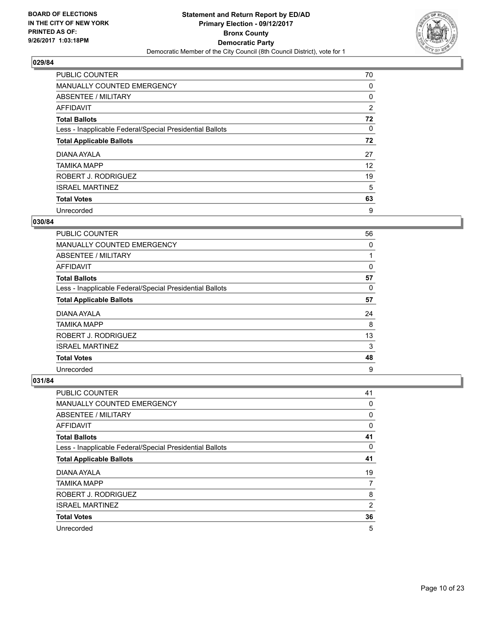

| <b>PUBLIC COUNTER</b>                                    | 70 |
|----------------------------------------------------------|----|
| MANUALLY COUNTED EMERGENCY                               | 0  |
| ABSENTEE / MILITARY                                      | 0  |
| AFFIDAVIT                                                | 2  |
| <b>Total Ballots</b>                                     | 72 |
| Less - Inapplicable Federal/Special Presidential Ballots | 0  |
| <b>Total Applicable Ballots</b>                          | 72 |
| DIANA AYALA                                              | 27 |
| <b>TAMIKA MAPP</b>                                       | 12 |
| ROBERT J. RODRIGUEZ                                      | 19 |
| <b>ISRAEL MARTINEZ</b>                                   | 5  |
| <b>Total Votes</b>                                       | 63 |
| Unrecorded                                               | 9  |

#### **030/84**

| <b>PUBLIC COUNTER</b>                                    | 56 |
|----------------------------------------------------------|----|
| MANUALLY COUNTED EMERGENCY                               | 0  |
| ABSENTEE / MILITARY                                      |    |
| AFFIDAVIT                                                | 0  |
| <b>Total Ballots</b>                                     | 57 |
| Less - Inapplicable Federal/Special Presidential Ballots | 0  |
| <b>Total Applicable Ballots</b>                          | 57 |
| DIANA AYALA                                              | 24 |
| TAMIKA MAPP                                              | 8  |
| ROBERT J. RODRIGUEZ                                      | 13 |
| <b>ISRAEL MARTINEZ</b>                                   | 3  |
| <b>Total Votes</b>                                       | 48 |
| Unrecorded                                               | 9  |

| <b>PUBLIC COUNTER</b>                                    | 41 |
|----------------------------------------------------------|----|
| <b>MANUALLY COUNTED EMERGENCY</b>                        | 0  |
| ABSENTEE / MILITARY                                      | 0  |
| AFFIDAVIT                                                | 0  |
| <b>Total Ballots</b>                                     | 41 |
| Less - Inapplicable Federal/Special Presidential Ballots | 0  |
| <b>Total Applicable Ballots</b>                          | 41 |
| DIANA AYALA                                              | 19 |
| <b>TAMIKA MAPP</b>                                       | 7  |
| ROBERT J. RODRIGUEZ                                      | 8  |
| <b>ISRAEL MARTINEZ</b>                                   | 2  |
| <b>Total Votes</b>                                       | 36 |
| Unrecorded                                               | 5  |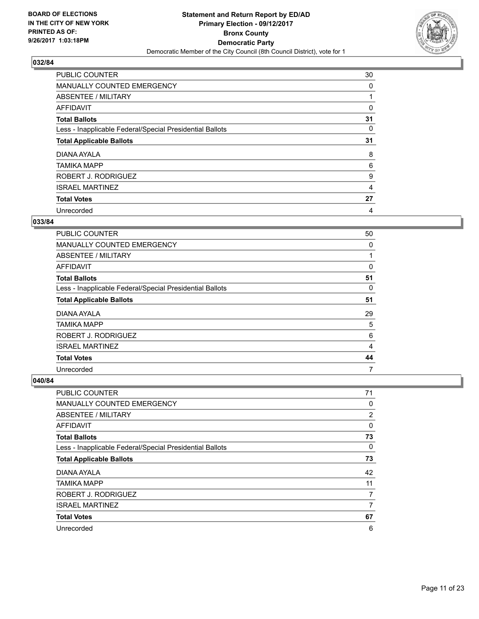

| <b>PUBLIC COUNTER</b>                                    | 30             |
|----------------------------------------------------------|----------------|
| MANUALLY COUNTED EMERGENCY                               | 0              |
| ABSENTEE / MILITARY                                      |                |
| AFFIDAVIT                                                | 0              |
| <b>Total Ballots</b>                                     | 31             |
| Less - Inapplicable Federal/Special Presidential Ballots | 0              |
| <b>Total Applicable Ballots</b>                          | 31             |
| DIANA AYALA                                              | 8              |
| <b>TAMIKA MAPP</b>                                       | 6              |
| ROBERT J. RODRIGUEZ                                      | 9              |
| <b>ISRAEL MARTINEZ</b>                                   | $\overline{4}$ |
| <b>Total Votes</b>                                       | 27             |
| Unrecorded                                               | 4              |

#### **033/84**

| <b>PUBLIC COUNTER</b>                                    | 50 |
|----------------------------------------------------------|----|
| <b>MANUALLY COUNTED EMERGENCY</b>                        | 0  |
| ABSENTEE / MILITARY                                      |    |
| AFFIDAVIT                                                | 0  |
| <b>Total Ballots</b>                                     | 51 |
| Less - Inapplicable Federal/Special Presidential Ballots | 0  |
| <b>Total Applicable Ballots</b>                          | 51 |
| DIANA AYALA                                              | 29 |
| <b>TAMIKA MAPP</b>                                       | 5  |
| ROBERT J. RODRIGUEZ                                      | 6  |
| <b>ISRAEL MARTINEZ</b>                                   | 4  |
| <b>Total Votes</b>                                       | 44 |
| Unrecorded                                               | 7  |

| PUBLIC COUNTER                                           | 71             |
|----------------------------------------------------------|----------------|
| MANUALLY COUNTED EMERGENCY                               | 0              |
| ABSENTEE / MILITARY                                      | $\overline{2}$ |
| AFFIDAVIT                                                | 0              |
| <b>Total Ballots</b>                                     | 73             |
| Less - Inapplicable Federal/Special Presidential Ballots | 0              |
| <b>Total Applicable Ballots</b>                          | 73             |
| DIANA AYALA                                              | 42             |
| <b>TAMIKA MAPP</b>                                       | 11             |
| ROBERT J. RODRIGUEZ                                      | 7              |
| <b>ISRAEL MARTINEZ</b>                                   | 7              |
| <b>Total Votes</b>                                       | 67             |
| Unrecorded                                               | 6              |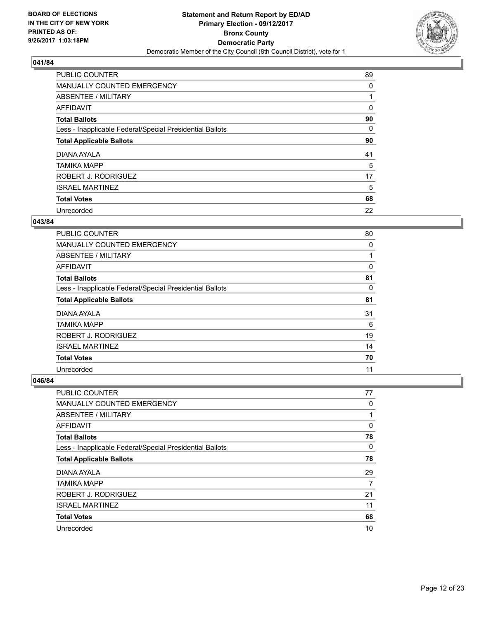

| <b>PUBLIC COUNTER</b>                                    | 89 |
|----------------------------------------------------------|----|
| MANUALLY COUNTED EMERGENCY                               | 0  |
| ABSENTEE / MILITARY                                      |    |
| <b>AFFIDAVIT</b>                                         | 0  |
| <b>Total Ballots</b>                                     | 90 |
| Less - Inapplicable Federal/Special Presidential Ballots | 0  |
| <b>Total Applicable Ballots</b>                          | 90 |
| DIANA AYALA                                              | 41 |
| <b>TAMIKA MAPP</b>                                       | 5  |
| ROBERT J. RODRIGUEZ                                      | 17 |
| <b>ISRAEL MARTINEZ</b>                                   | 5  |
| <b>Total Votes</b>                                       | 68 |
| Unrecorded                                               | 22 |

#### **043/84**

| <b>PUBLIC COUNTER</b>                                    | 80 |
|----------------------------------------------------------|----|
| <b>MANUALLY COUNTED EMERGENCY</b>                        | 0  |
| ABSENTEE / MILITARY                                      |    |
| <b>AFFIDAVIT</b>                                         | 0  |
| <b>Total Ballots</b>                                     | 81 |
| Less - Inapplicable Federal/Special Presidential Ballots | 0  |
| <b>Total Applicable Ballots</b>                          | 81 |
| DIANA AYALA                                              | 31 |
| TAMIKA MAPP                                              | 6  |
| ROBERT J. RODRIGUEZ                                      | 19 |
| <b>ISRAEL MARTINEZ</b>                                   | 14 |
| <b>Total Votes</b>                                       | 70 |
| Unrecorded                                               | 11 |

| <b>PUBLIC COUNTER</b>                                    | 77       |
|----------------------------------------------------------|----------|
| <b>MANUALLY COUNTED EMERGENCY</b>                        | 0        |
| ABSENTEE / MILITARY                                      |          |
| AFFIDAVIT                                                | 0        |
| <b>Total Ballots</b>                                     | 78       |
| Less - Inapplicable Federal/Special Presidential Ballots | $\Omega$ |
| <b>Total Applicable Ballots</b>                          | 78       |
| DIANA AYALA                                              | 29       |
| <b>TAMIKA MAPP</b>                                       | 7        |
| ROBERT J. RODRIGUEZ                                      | 21       |
| <b>ISRAEL MARTINEZ</b>                                   | 11       |
| <b>Total Votes</b>                                       | 68       |
| Unrecorded                                               | 10       |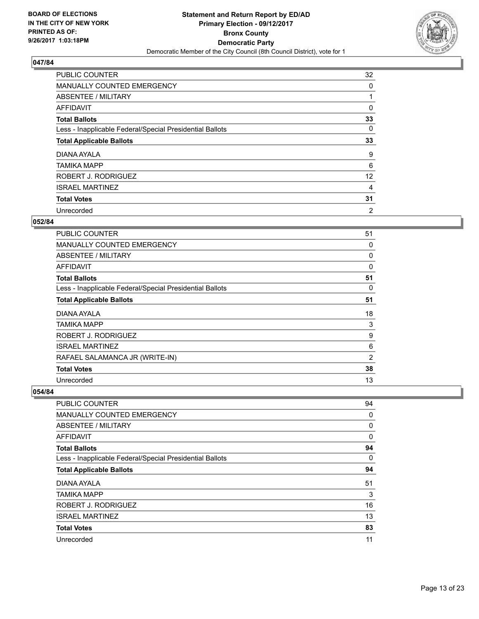

| <b>PUBLIC COUNTER</b>                                    | 32 |
|----------------------------------------------------------|----|
| MANUALLY COUNTED EMERGENCY                               | 0  |
| ABSENTEE / MILITARY                                      |    |
| AFFIDAVIT                                                | 0  |
| <b>Total Ballots</b>                                     | 33 |
| Less - Inapplicable Federal/Special Presidential Ballots | 0  |
| <b>Total Applicable Ballots</b>                          | 33 |
| DIANA AYALA                                              | 9  |
| <b>TAMIKA MAPP</b>                                       | 6  |
| ROBERT J. RODRIGUEZ                                      | 12 |
| <b>ISRAEL MARTINEZ</b>                                   | 4  |
| <b>Total Votes</b>                                       | 31 |
| Unrecorded                                               | 2  |

## **052/84**

| PUBLIC COUNTER                                           | 51             |
|----------------------------------------------------------|----------------|
| <b>MANUALLY COUNTED EMERGENCY</b>                        | 0              |
| ABSENTEE / MILITARY                                      | 0              |
| AFFIDAVIT                                                | 0              |
| <b>Total Ballots</b>                                     | 51             |
| Less - Inapplicable Federal/Special Presidential Ballots | 0              |
| <b>Total Applicable Ballots</b>                          | 51             |
| DIANA AYALA                                              | 18             |
| <b>TAMIKA MAPP</b>                                       | 3              |
| ROBERT J. RODRIGUEZ                                      | 9              |
| <b>ISRAEL MARTINEZ</b>                                   | 6              |
| RAFAEL SALAMANCA JR (WRITE-IN)                           | $\overline{2}$ |
| <b>Total Votes</b>                                       | 38             |
| Unrecorded                                               | 13             |

| PUBLIC COUNTER                                           | 94 |
|----------------------------------------------------------|----|
| <b>MANUALLY COUNTED EMERGENCY</b>                        | 0  |
| ABSENTEE / MILITARY                                      | 0  |
| AFFIDAVIT                                                | 0  |
| <b>Total Ballots</b>                                     | 94 |
| Less - Inapplicable Federal/Special Presidential Ballots | 0  |
| <b>Total Applicable Ballots</b>                          | 94 |
| DIANA AYALA                                              | 51 |
| <b>TAMIKA MAPP</b>                                       | 3  |
| ROBERT J. RODRIGUEZ                                      | 16 |
| <b>ISRAEL MARTINEZ</b>                                   | 13 |
| <b>Total Votes</b>                                       | 83 |
| Unrecorded                                               | 11 |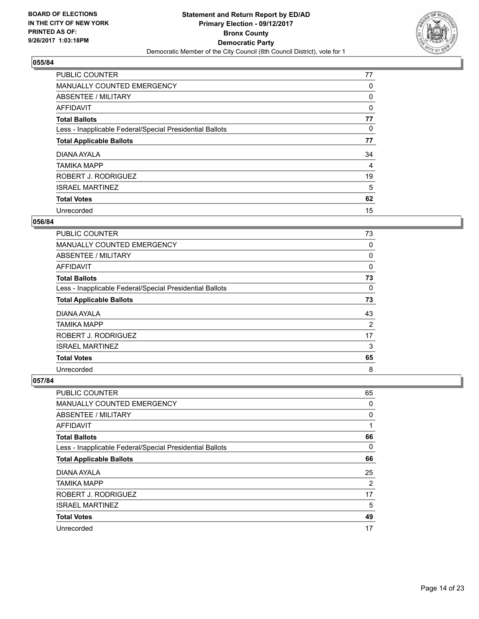

| PUBLIC COUNTER                                           | 77 |
|----------------------------------------------------------|----|
| MANUALLY COUNTED EMERGENCY                               | 0  |
| ABSENTEE / MILITARY                                      | 0  |
| AFFIDAVIT                                                | 0  |
| <b>Total Ballots</b>                                     | 77 |
| Less - Inapplicable Federal/Special Presidential Ballots | 0  |
| <b>Total Applicable Ballots</b>                          | 77 |
| DIANA AYALA                                              | 34 |
| <b>TAMIKA MAPP</b>                                       | 4  |
| ROBERT J. RODRIGUEZ                                      | 19 |
| <b>ISRAEL MARTINEZ</b>                                   | 5  |
| <b>Total Votes</b>                                       | 62 |
| Unrecorded                                               | 15 |

#### **056/84**

| <b>PUBLIC COUNTER</b>                                    | 73 |
|----------------------------------------------------------|----|
| MANUALLY COUNTED EMERGENCY                               | 0  |
| ABSENTEE / MILITARY                                      | 0  |
| <b>AFFIDAVIT</b>                                         | 0  |
| <b>Total Ballots</b>                                     | 73 |
| Less - Inapplicable Federal/Special Presidential Ballots | 0  |
| <b>Total Applicable Ballots</b>                          | 73 |
| DIANA AYALA                                              | 43 |
| <b>TAMIKA MAPP</b>                                       | 2  |
| ROBERT J. RODRIGUEZ                                      | 17 |
| <b>ISRAEL MARTINEZ</b>                                   | 3  |
| <b>Total Votes</b>                                       | 65 |
| Unrecorded                                               | 8  |

| <b>PUBLIC COUNTER</b>                                    | 65 |
|----------------------------------------------------------|----|
| <b>MANUALLY COUNTED EMERGENCY</b>                        | 0  |
| ABSENTEE / MILITARY                                      | 0  |
| AFFIDAVIT                                                | 1  |
| <b>Total Ballots</b>                                     | 66 |
| Less - Inapplicable Federal/Special Presidential Ballots | 0  |
| <b>Total Applicable Ballots</b>                          | 66 |
| DIANA AYALA                                              | 25 |
| <b>TAMIKA MAPP</b>                                       | 2  |
| ROBERT J. RODRIGUEZ                                      | 17 |
| <b>ISRAEL MARTINEZ</b>                                   | 5  |
| <b>Total Votes</b>                                       | 49 |
| Unrecorded                                               | 17 |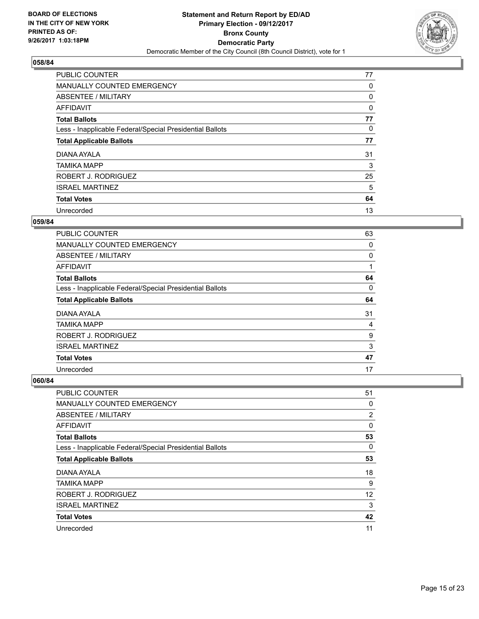

| PUBLIC COUNTER                                           | 77 |
|----------------------------------------------------------|----|
| MANUALLY COUNTED EMERGENCY                               | 0  |
| ABSENTEE / MILITARY                                      | 0  |
| AFFIDAVIT                                                | 0  |
| <b>Total Ballots</b>                                     | 77 |
| Less - Inapplicable Federal/Special Presidential Ballots | 0  |
| <b>Total Applicable Ballots</b>                          | 77 |
| DIANA AYALA                                              | 31 |
| <b>TAMIKA MAPP</b>                                       | 3  |
| ROBERT J. RODRIGUEZ                                      | 25 |
| <b>ISRAEL MARTINEZ</b>                                   | 5  |
| <b>Total Votes</b>                                       | 64 |
| Unrecorded                                               | 13 |

#### **059/84**

| <b>PUBLIC COUNTER</b>                                    | 63 |
|----------------------------------------------------------|----|
| <b>MANUALLY COUNTED EMERGENCY</b>                        | 0  |
| ABSENTEE / MILITARY                                      | 0  |
| <b>AFFIDAVIT</b>                                         |    |
| <b>Total Ballots</b>                                     | 64 |
| Less - Inapplicable Federal/Special Presidential Ballots | 0  |
| <b>Total Applicable Ballots</b>                          | 64 |
| DIANA AYALA                                              | 31 |
| TAMIKA MAPP                                              | 4  |
| ROBERT J. RODRIGUEZ                                      | 9  |
| <b>ISRAEL MARTINEZ</b>                                   | 3  |
| <b>Total Votes</b>                                       | 47 |
| Unrecorded                                               | 17 |

| <b>PUBLIC COUNTER</b>                                    | 51             |
|----------------------------------------------------------|----------------|
| <b>MANUALLY COUNTED EMERGENCY</b>                        | 0              |
| ABSENTEE / MILITARY                                      | $\overline{2}$ |
| AFFIDAVIT                                                | 0              |
| <b>Total Ballots</b>                                     | 53             |
| Less - Inapplicable Federal/Special Presidential Ballots | 0              |
| <b>Total Applicable Ballots</b>                          | 53             |
| DIANA AYALA                                              | 18             |
| <b>TAMIKA MAPP</b>                                       | 9              |
| ROBERT J. RODRIGUEZ                                      | 12             |
| <b>ISRAEL MARTINEZ</b>                                   | 3              |
| <b>Total Votes</b>                                       | 42             |
| Unrecorded                                               | 11             |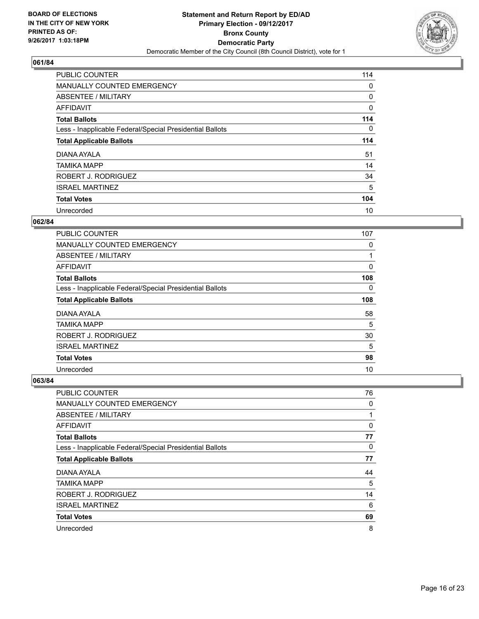

| PUBLIC COUNTER                                           | 114 |
|----------------------------------------------------------|-----|
| MANUALLY COUNTED EMERGENCY                               | 0   |
| ABSENTEE / MILITARY                                      | 0   |
| AFFIDAVIT                                                | 0   |
| <b>Total Ballots</b>                                     | 114 |
| Less - Inapplicable Federal/Special Presidential Ballots | 0   |
| <b>Total Applicable Ballots</b>                          | 114 |
| DIANA AYALA                                              | 51  |
| <b>TAMIKA MAPP</b>                                       | 14  |
| ROBERT J. RODRIGUEZ                                      | 34  |
| <b>ISRAEL MARTINEZ</b>                                   | 5   |
| <b>Total Votes</b>                                       | 104 |
| Unrecorded                                               | 10  |

#### **062/84**

| <b>PUBLIC COUNTER</b>                                    | 107      |
|----------------------------------------------------------|----------|
| <b>MANUALLY COUNTED EMERGENCY</b>                        | 0        |
| ABSENTEE / MILITARY                                      | 1        |
| AFFIDAVIT                                                | 0        |
| <b>Total Ballots</b>                                     | 108      |
| Less - Inapplicable Federal/Special Presidential Ballots | $\Omega$ |
| <b>Total Applicable Ballots</b>                          | 108      |
| DIANA AYALA                                              | 58       |
| <b>TAMIKA MAPP</b>                                       | 5        |
| ROBERT J. RODRIGUEZ                                      | 30       |
| <b>ISRAEL MARTINEZ</b>                                   | 5        |
| <b>Total Votes</b>                                       | 98       |
| Unrecorded                                               | 10       |

| <b>PUBLIC COUNTER</b>                                    | 76 |
|----------------------------------------------------------|----|
| <b>MANUALLY COUNTED EMERGENCY</b>                        | 0  |
| ABSENTEE / MILITARY                                      | 1  |
| AFFIDAVIT                                                | 0  |
| <b>Total Ballots</b>                                     | 77 |
| Less - Inapplicable Federal/Special Presidential Ballots | 0  |
| <b>Total Applicable Ballots</b>                          | 77 |
| DIANA AYALA                                              | 44 |
| <b>TAMIKA MAPP</b>                                       | 5  |
| ROBERT J. RODRIGUEZ                                      | 14 |
| <b>ISRAEL MARTINEZ</b>                                   | 6  |
| <b>Total Votes</b>                                       | 69 |
| Unrecorded                                               | 8  |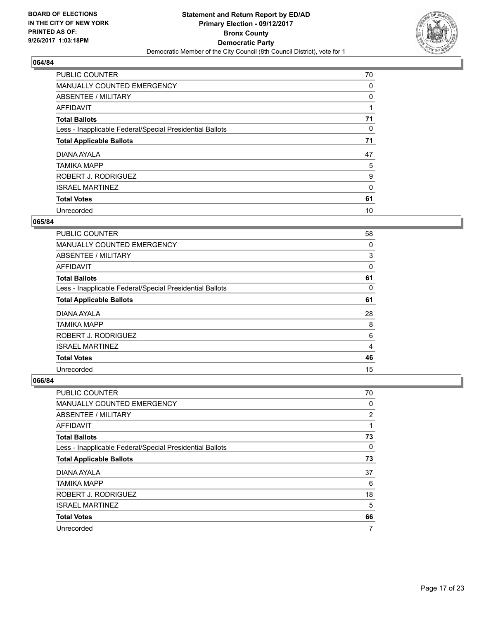

| PUBLIC COUNTER                                           | 70 |
|----------------------------------------------------------|----|
| MANUALLY COUNTED EMERGENCY                               | 0  |
| ABSENTEE / MILITARY                                      | 0  |
| AFFIDAVIT                                                |    |
| <b>Total Ballots</b>                                     | 71 |
| Less - Inapplicable Federal/Special Presidential Ballots | 0  |
| <b>Total Applicable Ballots</b>                          | 71 |
| DIANA AYALA                                              | 47 |
| <b>TAMIKA MAPP</b>                                       | 5  |
| ROBERT J. RODRIGUEZ                                      | 9  |
| <b>ISRAEL MARTINEZ</b>                                   | 0  |
| <b>Total Votes</b>                                       | 61 |
| Unrecorded                                               | 10 |

#### **065/84**

| <b>PUBLIC COUNTER</b>                                    | 58 |
|----------------------------------------------------------|----|
| <b>MANUALLY COUNTED EMERGENCY</b>                        | 0  |
| ABSENTEE / MILITARY                                      | 3  |
| <b>AFFIDAVIT</b>                                         | 0  |
| <b>Total Ballots</b>                                     | 61 |
| Less - Inapplicable Federal/Special Presidential Ballots | 0  |
| <b>Total Applicable Ballots</b>                          | 61 |
| DIANA AYALA                                              | 28 |
| TAMIKA MAPP                                              | 8  |
| ROBERT J. RODRIGUEZ                                      | 6  |
| <b>ISRAEL MARTINEZ</b>                                   | 4  |
| <b>Total Votes</b>                                       | 46 |
| Unrecorded                                               | 15 |

| <b>PUBLIC COUNTER</b>                                    | 70 |
|----------------------------------------------------------|----|
| MANUALLY COUNTED EMERGENCY                               | 0  |
| ABSENTEE / MILITARY                                      | 2  |
| AFFIDAVIT                                                | 1  |
| <b>Total Ballots</b>                                     | 73 |
| Less - Inapplicable Federal/Special Presidential Ballots | 0  |
| <b>Total Applicable Ballots</b>                          | 73 |
| DIANA AYALA                                              | 37 |
| <b>TAMIKA MAPP</b>                                       | 6  |
| ROBERT J. RODRIGUEZ                                      | 18 |
| <b>ISRAEL MARTINEZ</b>                                   | 5  |
| <b>Total Votes</b>                                       | 66 |
| Unrecorded                                               | 7  |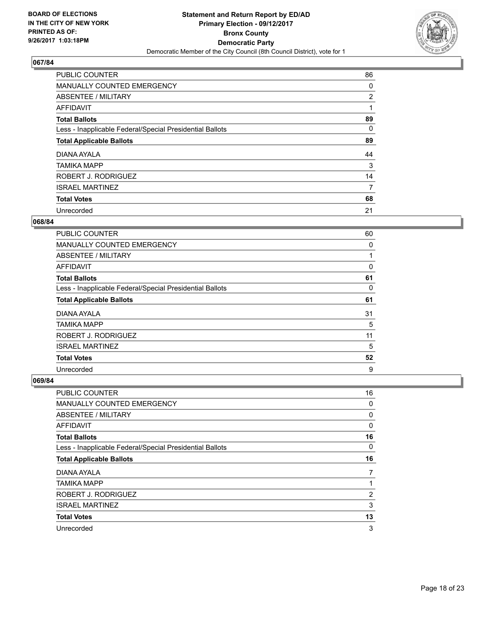

| <b>PUBLIC COUNTER</b>                                    | 86             |
|----------------------------------------------------------|----------------|
| <b>MANUALLY COUNTED EMERGENCY</b>                        | 0              |
| ABSENTEE / MILITARY                                      | $\overline{2}$ |
| <b>AFFIDAVIT</b>                                         |                |
| <b>Total Ballots</b>                                     | 89             |
| Less - Inapplicable Federal/Special Presidential Ballots | 0              |
| <b>Total Applicable Ballots</b>                          | 89             |
| DIANA AYALA                                              | 44             |
| <b>TAMIKA MAPP</b>                                       | 3              |
| ROBERT J. RODRIGUEZ                                      | 14             |
| <b>ISRAEL MARTINEZ</b>                                   | 7              |
| <b>Total Votes</b>                                       | 68             |
| Unrecorded                                               | 21             |

#### **068/84**

| <b>PUBLIC COUNTER</b>                                    | 60       |
|----------------------------------------------------------|----------|
| <b>MANUALLY COUNTED EMERGENCY</b>                        | $\Omega$ |
| ABSENTEE / MILITARY                                      | 1        |
| <b>AFFIDAVIT</b>                                         | 0        |
| <b>Total Ballots</b>                                     | 61       |
| Less - Inapplicable Federal/Special Presidential Ballots | 0        |
| <b>Total Applicable Ballots</b>                          | 61       |
| DIANA AYALA                                              | 31       |
| TAMIKA MAPP                                              | 5        |
| ROBERT J. RODRIGUEZ                                      | 11       |
| <b>ISRAEL MARTINEZ</b>                                   | 5        |
| <b>Total Votes</b>                                       | 52       |
| Unrecorded                                               | 9        |

| <b>PUBLIC COUNTER</b>                                    | 16 |
|----------------------------------------------------------|----|
| MANUALLY COUNTED EMERGENCY                               | 0  |
| ABSENTEE / MILITARY                                      | 0  |
| AFFIDAVIT                                                | 0  |
| <b>Total Ballots</b>                                     | 16 |
| Less - Inapplicable Federal/Special Presidential Ballots | 0  |
| <b>Total Applicable Ballots</b>                          | 16 |
| DIANA AYALA                                              | 7  |
| <b>TAMIKA MAPP</b>                                       |    |
| ROBERT J. RODRIGUEZ                                      | 2  |
| <b>ISRAEL MARTINEZ</b>                                   | 3  |
| <b>Total Votes</b>                                       | 13 |
| Unrecorded                                               | 3  |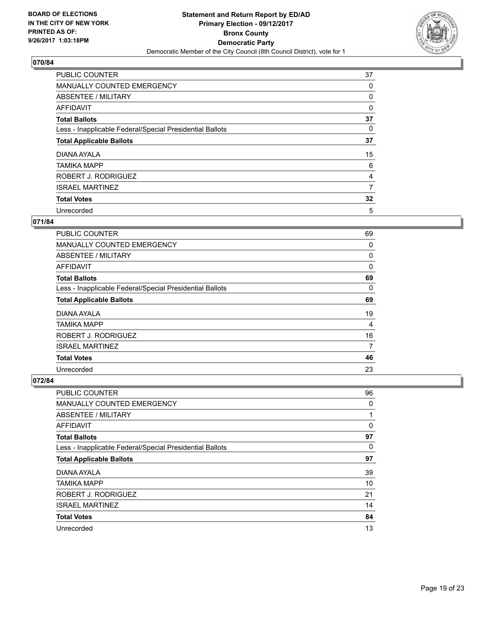

| <b>PUBLIC COUNTER</b>                                    | 37 |
|----------------------------------------------------------|----|
| MANUALLY COUNTED EMERGENCY                               | 0  |
| ABSENTEE / MILITARY                                      | 0  |
| AFFIDAVIT                                                | 0  |
| <b>Total Ballots</b>                                     | 37 |
| Less - Inapplicable Federal/Special Presidential Ballots | 0  |
| <b>Total Applicable Ballots</b>                          | 37 |
| DIANA AYALA                                              | 15 |
| <b>TAMIKA MAPP</b>                                       | 6  |
| ROBERT J. RODRIGUEZ                                      | 4  |
| <b>ISRAEL MARTINEZ</b>                                   | 7  |
| <b>Total Votes</b>                                       | 32 |
| Unrecorded                                               | 5  |

## **071/84**

| <b>PUBLIC COUNTER</b>                                    | 69 |
|----------------------------------------------------------|----|
| <b>MANUALLY COUNTED EMERGENCY</b>                        | 0  |
| ABSENTEE / MILITARY                                      | 0  |
| <b>AFFIDAVIT</b>                                         | 0  |
| <b>Total Ballots</b>                                     | 69 |
| Less - Inapplicable Federal/Special Presidential Ballots | 0  |
| <b>Total Applicable Ballots</b>                          | 69 |
| DIANA AYALA                                              | 19 |
| TAMIKA MAPP                                              | 4  |
| ROBERT J. RODRIGUEZ                                      | 16 |
| <b>ISRAEL MARTINEZ</b>                                   | 7  |
| <b>Total Votes</b>                                       | 46 |
| Unrecorded                                               | 23 |

| <b>PUBLIC COUNTER</b>                                    | 96 |
|----------------------------------------------------------|----|
| <b>MANUALLY COUNTED EMERGENCY</b>                        | 0  |
| ABSENTEE / MILITARY                                      | 1  |
| AFFIDAVIT                                                | 0  |
| <b>Total Ballots</b>                                     | 97 |
| Less - Inapplicable Federal/Special Presidential Ballots | 0  |
| <b>Total Applicable Ballots</b>                          | 97 |
| DIANA AYALA                                              | 39 |
| <b>TAMIKA MAPP</b>                                       | 10 |
| ROBERT J. RODRIGUEZ                                      | 21 |
| <b>ISRAEL MARTINEZ</b>                                   | 14 |
| <b>Total Votes</b>                                       | 84 |
| Unrecorded                                               | 13 |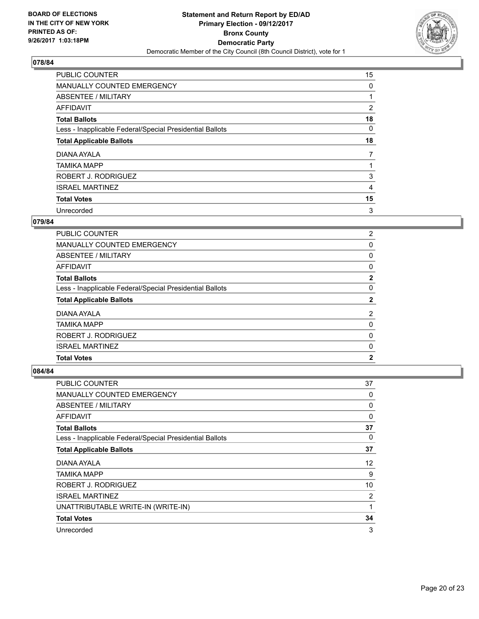

| <b>PUBLIC COUNTER</b>                                    | 15 |
|----------------------------------------------------------|----|
| MANUALLY COUNTED EMERGENCY                               | 0  |
| ABSENTEE / MILITARY                                      |    |
| AFFIDAVIT                                                | 2  |
| <b>Total Ballots</b>                                     | 18 |
| Less - Inapplicable Federal/Special Presidential Ballots | 0  |
| <b>Total Applicable Ballots</b>                          | 18 |
| DIANA AYALA                                              | 7  |
| <b>TAMIKA MAPP</b>                                       |    |
| ROBERT J. RODRIGUEZ                                      | 3  |
| <b>ISRAEL MARTINEZ</b>                                   | 4  |
| <b>Total Votes</b>                                       | 15 |
| Unrecorded                                               | 3  |

## **079/84**

| <b>TAMIKA MAPP</b>                                       | 0                     |
|----------------------------------------------------------|-----------------------|
| DIANA AYALA                                              | 2                     |
| <b>Total Applicable Ballots</b>                          | 2                     |
| Less - Inapplicable Federal/Special Presidential Ballots | 0                     |
| <b>Total Ballots</b>                                     | $\mathbf{2}$          |
| AFFIDAVIT                                                | 0                     |
| ABSENTEE / MILITARY                                      | 0                     |
| <b>MANUALLY COUNTED EMERGENCY</b>                        | 0                     |
| PUBLIC COUNTER                                           | $\mathbf{2}^{\prime}$ |

| <b>PUBLIC COUNTER</b>                                    | 37 |
|----------------------------------------------------------|----|
| MANUALLY COUNTED EMERGENCY                               | 0  |
| ABSENTEE / MILITARY                                      | 0  |
| AFFIDAVIT                                                | 0  |
| <b>Total Ballots</b>                                     | 37 |
| Less - Inapplicable Federal/Special Presidential Ballots | 0  |
| <b>Total Applicable Ballots</b>                          | 37 |
| DIANA AYALA                                              | 12 |
| TAMIKA MAPP                                              | 9  |
| ROBERT J. RODRIGUEZ                                      | 10 |
| <b>ISRAEL MARTINEZ</b>                                   | 2  |
| UNATTRIBUTABLE WRITE-IN (WRITE-IN)                       | 1  |
| <b>Total Votes</b>                                       | 34 |
| Unrecorded                                               | 3  |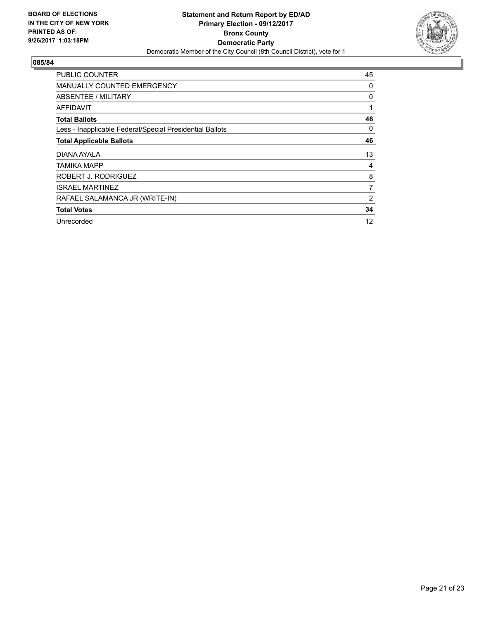

| <b>PUBLIC COUNTER</b>                                    | 45 |
|----------------------------------------------------------|----|
| <b>MANUALLY COUNTED EMERGENCY</b>                        | 0  |
| ABSENTEE / MILITARY                                      | 0  |
| AFFIDAVIT                                                | 1  |
| <b>Total Ballots</b>                                     | 46 |
| Less - Inapplicable Federal/Special Presidential Ballots | 0  |
| <b>Total Applicable Ballots</b>                          | 46 |
| DIANA AYALA                                              | 13 |
| TAMIKA MAPP                                              | 4  |
| ROBERT J. RODRIGUEZ                                      | 8  |
| <b>ISRAEL MARTINEZ</b>                                   | 7  |
| RAFAEL SALAMANCA JR (WRITE-IN)                           | 2  |
| <b>Total Votes</b>                                       | 34 |
| Unrecorded                                               | 12 |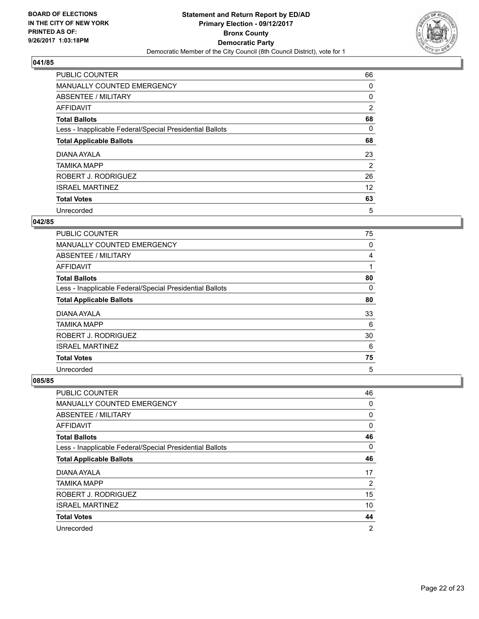

| <b>PUBLIC COUNTER</b>                                    | 66 |
|----------------------------------------------------------|----|
| MANUALLY COUNTED EMERGENCY                               | 0  |
| ABSENTEE / MILITARY                                      | 0  |
| AFFIDAVIT                                                | 2  |
| <b>Total Ballots</b>                                     | 68 |
| Less - Inapplicable Federal/Special Presidential Ballots | 0  |
| <b>Total Applicable Ballots</b>                          | 68 |
| DIANA AYALA                                              | 23 |
| <b>TAMIKA MAPP</b>                                       | 2  |
| ROBERT J. RODRIGUEZ                                      | 26 |
| <b>ISRAEL MARTINEZ</b>                                   | 12 |
| <b>Total Votes</b>                                       | 63 |
| Unrecorded                                               | 5  |

#### **042/85**

| <b>PUBLIC COUNTER</b>                                    | 75 |
|----------------------------------------------------------|----|
| <b>MANUALLY COUNTED EMERGENCY</b>                        | 0  |
| ABSENTEE / MILITARY                                      | 4  |
| <b>AFFIDAVIT</b>                                         | 1  |
| <b>Total Ballots</b>                                     | 80 |
| Less - Inapplicable Federal/Special Presidential Ballots | 0  |
| <b>Total Applicable Ballots</b>                          | 80 |
| DIANA AYALA                                              | 33 |
| <b>TAMIKA MAPP</b>                                       | 6  |
| ROBERT J. RODRIGUEZ                                      | 30 |
| <b>ISRAEL MARTINEZ</b>                                   | 6  |
| <b>Total Votes</b>                                       | 75 |
| Unrecorded                                               | 5  |

| PUBLIC COUNTER                                           | 46             |
|----------------------------------------------------------|----------------|
| <b>MANUALLY COUNTED EMERGENCY</b>                        | 0              |
| ABSENTEE / MILITARY                                      | 0              |
| AFFIDAVIT                                                | 0              |
| <b>Total Ballots</b>                                     | 46             |
| Less - Inapplicable Federal/Special Presidential Ballots | 0              |
| <b>Total Applicable Ballots</b>                          | 46             |
| DIANA AYALA                                              | 17             |
| <b>TAMIKA MAPP</b>                                       | 2              |
| ROBERT J. RODRIGUEZ                                      | 15             |
| <b>ISRAEL MARTINEZ</b>                                   | 10             |
| <b>Total Votes</b>                                       | 44             |
| Unrecorded                                               | $\overline{2}$ |